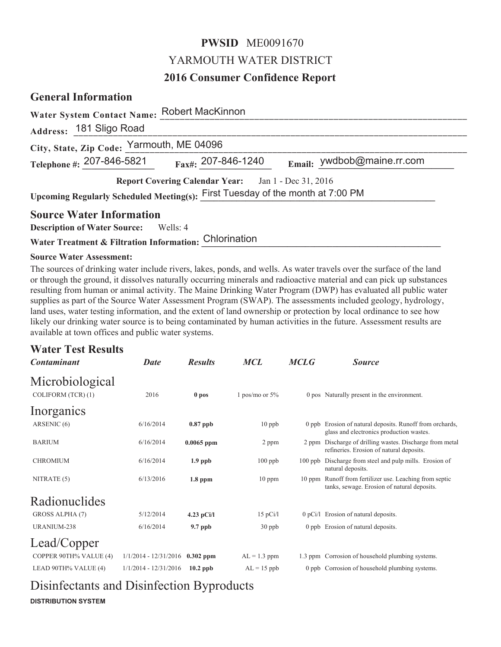# **PWSID** ME0091670 YARMOUTH WATER DISTRICT

# **2016 Consumer Confidence Report**

### **General Information**

| <b>Water System Contact Name:</b>                                              | <b>Robert MacKinnon</b>          |                            |  |  |  |
|--------------------------------------------------------------------------------|----------------------------------|----------------------------|--|--|--|
| Address: 181 Sligo Road                                                        |                                  |                            |  |  |  |
| City, State, Zip Code: Yarmouth, ME 04096                                      |                                  |                            |  |  |  |
| Telephone #: 207-846-5821                                                      | $F_{\text{ax}\#}$ : 207-846-1240 | Email: ywdbob@maine.rr.com |  |  |  |
| Report Covering Calendar Year: Jan 1 - Dec 31, 2016                            |                                  |                            |  |  |  |
| Upcoming Regularly Scheduled Meeting(s): First Tuesday of the month at 7:00 PM |                                  |                            |  |  |  |
| <b>Source Water Information</b>                                                |                                  |                            |  |  |  |
| <b>Description of Water Source:</b><br>Wells: 4                                |                                  |                            |  |  |  |
| Water Treatment & Filtration Information: Chlorination                         |                                  |                            |  |  |  |

### **Source Water Assessment:**

The sources of drinking water include rivers, lakes, ponds, and wells. As water travels over the surface of the land or through the ground, it dissolves naturally occurring minerals and radioactive material and can pick up substances resulting from human or animal activity. The Maine Drinking Water Program (DWP) has evaluated all public water supplies as part of the Source Water Assessment Program (SWAP). The assessments included geology, hydrology, land uses, water testing information, and the extent of land ownership or protection by local ordinance to see how likely our drinking water source is to being contaminated by human activities in the future. Assessment results are available at town offices and public water systems.

### **Water Test Results**

| <b>Contaminant</b>                    | <b>Date</b>                       | <b>Results</b> | <b>MCL</b>        | <b>MCLG</b> | <b>Source</b>                                                                                          |
|---------------------------------------|-----------------------------------|----------------|-------------------|-------------|--------------------------------------------------------------------------------------------------------|
| Microbiological<br>COLIFORM (TCR) (1) | 2016                              | 0 pos          | 1 pos/mo or $5\%$ |             | 0 pos Naturally present in the environment.                                                            |
| Inorganics                            |                                   |                |                   |             |                                                                                                        |
| ARSENIC (6)                           | 6/16/2014                         | $0.87$ ppb     | $10$ ppb          |             | 0 ppb Erosion of natural deposits. Runoff from orchards,<br>glass and electronics production wastes.   |
| <b>BARIUM</b>                         | 6/16/2014                         | $0.0065$ ppm   | 2 ppm             |             | 2 ppm Discharge of drilling wastes. Discharge from metal<br>refineries. Erosion of natural deposits.   |
| <b>CHROMIUM</b>                       | 6/16/2014                         | $1.9$ ppb      | $100$ ppb         |             | 100 ppb Discharge from steel and pulp mills. Erosion of<br>natural deposits.                           |
| NITRATE (5)                           | 6/13/2016                         | $1.8$ ppm      | $10$ ppm          |             | 10 ppm Runoff from fertilizer use. Leaching from septic<br>tanks, sewage. Erosion of natural deposits. |
| Radionuclides                         |                                   |                |                   |             |                                                                                                        |
| GROSS ALPHA (7)                       | 5/12/2014                         | $4.23$ pCi/l   | $15$ pCi/l        |             | 0 pCi/l Erosion of natural deposits.                                                                   |
| URANIUM-238                           | 6/16/2014                         | $9.7$ ppb      | $30$ ppb          |             | 0 ppb Erosion of natural deposits.                                                                     |
| Lead/Copper                           |                                   |                |                   |             |                                                                                                        |
| COPPER 90TH% VALUE (4)                | $1/1/2014 - 12/31/2016$ 0.302 ppm |                | $AL = 1.3$ ppm    |             | 1.3 ppm Corrosion of household plumbing systems.                                                       |
| LEAD 90TH% VALUE (4)                  | $1/1/2014 - 12/31/2016$           | $10.2$ ppb     | $AL = 15$ ppb     |             | 0 ppb Corrosion of household plumbing systems.                                                         |

Disinfectants and Disinfection Byproducts

**DISTRIBUTION SYSTEM**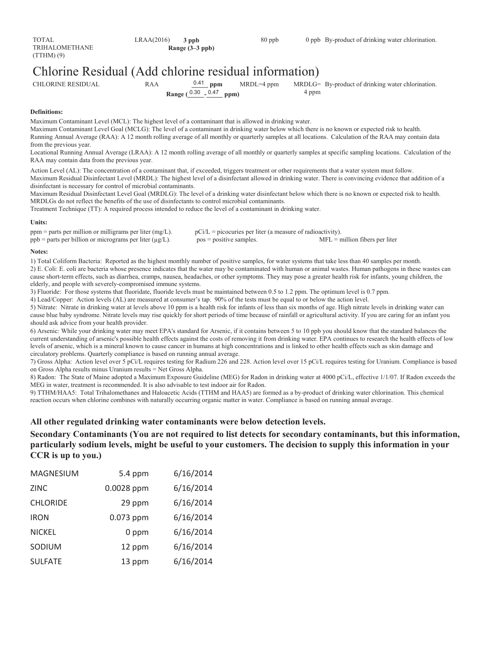# Chlorine Residual (Add chlorine residual information)

0.41 ppm

CHLORINE RESIDUAL RAA  $^{0.41}$  ppm MRDL=4 ppm

**Range** ( $^{0.30}$  -  $^{0.47}$  ppm)

4 ppm MRDLG= By-product of drinking water chlorination.

#### **Definitions:**

Maximum Contaminant Level (MCL): The highest level of a contaminant that is allowed in drinking water.

Maximum Contaminant Level Goal (MCLG): The level of a contaminant in drinking water below which there is no known or expected risk to health. Running Annual Average (RAA): A 12 month rolling average of all monthly or quarterly samples at all locations. Calculation of the RAA may contain data from the previous year.

Locational Running Annual Average (LRAA): A 12 month rolling average of all monthly or quarterly samples at specific sampling locations. Calculation of the RAA may contain data from the previous year.

Action Level (AL): The concentration of a contaminant that, if exceeded, triggers treatment or other requirements that a water system must follow. Maximum Residual Disinfectant Level (MRDL): The highest level of a disinfectant allowed in drinking water. There is convincing evidence that addition of a disinfectant is necessary for control of microbial contaminants.

Maximum Residual Disinfectant Level Goal (MRDLG): The level of a drinking water disinfectant below which there is no known or expected risk to health. MRDLGs do not reflect the benefits of the use of disinfectants to control microbial contaminants.

Treatment Technique (TT): A required process intended to reduce the level of a contaminant in drinking water.

#### **Units:**

| $ppm$ = parts per million or milligrams per liter (mg/L).       | $pCi/L = picocuries per liter (a measure of radioactivity).$ |                                  |
|-----------------------------------------------------------------|--------------------------------------------------------------|----------------------------------|
| $ppb$ = parts per billion or micrograms per liter ( $\mu$ g/L). | $pos = positive samples.$                                    | $MFL =$ million fibers per liter |

#### **Notes:**

1) Total Coliform Bacteria: Reported as the highest monthly number of positive samples, for water systems that take less than 40 samples per month. 2) E. Coli: E. coli are bacteria whose presence indicates that the water may be contaminated with human or animal wastes. Human pathogens in these wastes can cause short-term effects, such as diarrhea, cramps, nausea, headaches, or other symptoms. They may pose a greater health risk for infants, young children, the elderly, and people with severely-compromised immune systems.

3) Fluoride: For those systems that fluoridate, fluoride levels must be maintained between 0.5 to 1.2 ppm. The optimum level is 0.7 ppm.

4) Lead/Copper: Action levels (AL) are measured at consumer's tap. 90% of the tests must be equal to or below the action level.

5) Nitrate: Nitrate in drinking water at levels above 10 ppm is a health risk for infants of less than six months of age. High nitrate levels in drinking water can cause blue baby syndrome. Nitrate levels may rise quickly for short periods of time because of rainfall or agricultural activity. If you are caring for an infant you should ask advice from your health provider.

6) Arsenic: While your drinking water may meet EPA's standard for Arsenic, if it contains between 5 to 10 ppb you should know that the standard balances the current understanding of arsenic's possible health effects against the costs of removing it from drinking water. EPA continues to research the health effects of low levels of arsenic, which is a mineral known to cause cancer in humans at high concentrations and is linked to other health effects such as skin damage and circulatory problems. Quarterly compliance is based on running annual average.

7) Gross Alpha: Action level over 5 pCi/L requires testing for Radium 226 and 228. Action level over 15 pCi/L requires testing for Uranium. Compliance is based on Gross Alpha results minus Uranium results = Net Gross Alpha.

8) Radon: The State of Maine adopted a Maximum Exposure Guideline (MEG) for Radon in drinking water at 4000 pCi/L, effective 1/1/07. If Radon exceeds the MEG in water, treatment is recommended. It is also advisable to test indoor air for Radon.

9) TTHM/HAA5: Total Trihalomethanes and Haloacetic Acids (TTHM and HAA5) are formed as a by-product of drinking water chlorination. This chemical reaction occurs when chlorine combines with naturally occurring organic matter in water. Compliance is based on running annual average.

#### **All other regulated drinking water contaminants were below detection levels.**

**Secondary Contaminants (You are not required to list detects for secondary contaminants, but this information, particularly sodium levels, might be useful to your customers. The decision to supply this information in your CCR is up to you.)**

| <b>MAGNESIUM</b> | 5.4 ppm     | 6/16/2014 |
|------------------|-------------|-----------|
| <b>ZINC</b>      | 0.0028 ppm  | 6/16/2014 |
| <b>CHLORIDE</b>  | 29 ppm      | 6/16/2014 |
| <b>IRON</b>      | $0.073$ ppm | 6/16/2014 |
| <b>NICKEL</b>    | 0 ppm       | 6/16/2014 |
| SODIUM           | 12 ppm      | 6/16/2014 |
| <b>SULFATE</b>   | 13 ppm      | 6/16/2014 |